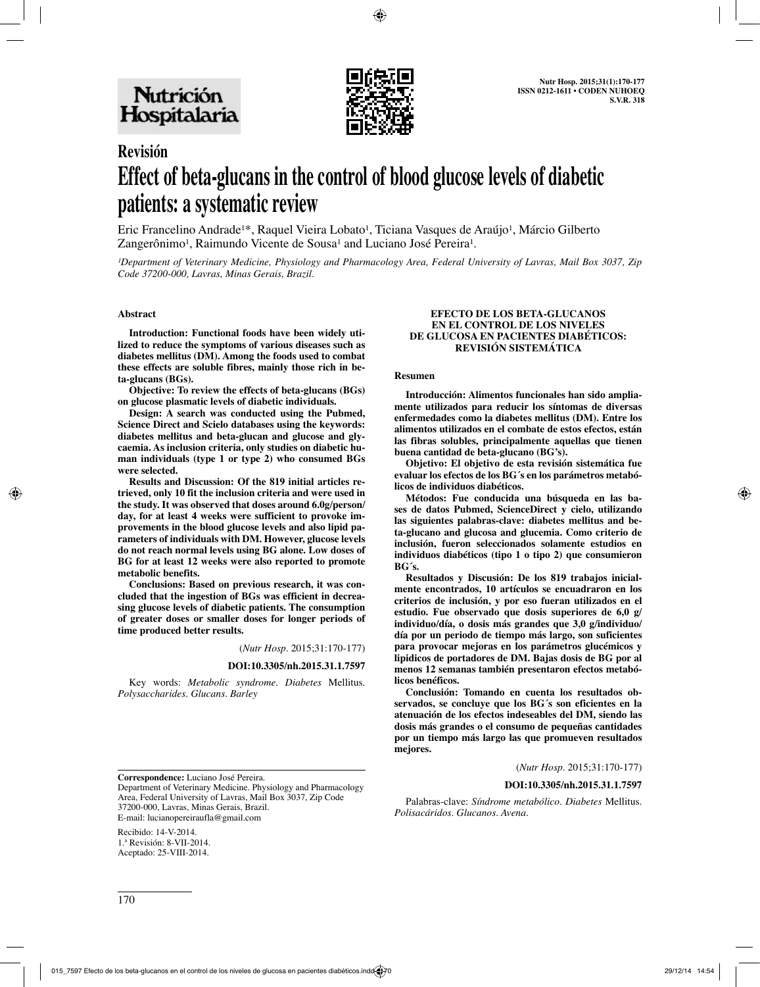

# **Revisión Effect of beta-glucans in the control of blood glucose levels of diabetic patients: a systematic review**

Eric Francelino Andrade<sup>1\*</sup>, Raquel Vieira Lobato<sup>1</sup>, Ticiana Vasques de Araújo<sup>1</sup>, Márcio Gilberto  $\text{Zangerônimo}$ , Raimundo Vicente de Sousa<sup>1</sup> and Luciano José Pereira<sup>1</sup>.

*¹Department of Veterinary Medicine, Physiology and Pharmacology Area, Federal University of Lavras, Mail Box 3037, Zip Code 37200-000, Lavras, Minas Gerais, Brazil.*

#### **Abstract**

**Introduction: Functional foods have been widely utilized to reduce the symptoms of various diseases such as diabetes mellitus (DM). Among the foods used to combat these effects are soluble fibres, mainly those rich in beta-glucans (BGs).**

**Objective: To review the effects of beta-glucans (BGs) on glucose plasmatic levels of diabetic individuals.** 

**Design: A search was conducted using the Pubmed, Science Direct and Scielo databases using the keywords: diabetes mellitus and beta-glucan and glucose and glycaemia. As inclusion criteria, only studies on diabetic human individuals (type 1 or type 2) who consumed BGs were selected.** 

**Results and Discussion: Of the 819 initial articles retrieved, only 10 fit the inclusion criteria and were used in the study. It was observed that doses around 6.0g/person/ day, for at least 4 weeks were sufficient to provoke improvements in the blood glucose levels and also lipid parameters of individuals with DM. However, glucose levels do not reach normal levels using BG alone. Low doses of BG for at least 12 weeks were also reported to promote metabolic benefits.** 

**Conclusions: Based on previous research, it was concluded that the ingestion of BGs was efficient in decreasing glucose levels of diabetic patients. The consumption of greater doses or smaller doses for longer periods of time produced better results.**

(*Nutr Hosp.* 2015;31:170-177)

**DOI:10.3305/nh.2015.31.1.7597**

Key words: *Metabolic syndrome. Diabetes* Mellitus. *Polysaccharides. Glucans. Barley*

#### **EFECTO DE LOS BETA-GLUCANOS EN EL CONTROL DE LOS NIVELES DE GLUCOSA EN PACIENTES DIABÉTICOS: REVISIÓN SISTEMÁTICA**

#### **Resumen**

**Introducción: Alimentos funcionales han sido ampliamente utilizados para reducir los síntomas de diversas enfermedades como la diabetes mellitus (DM). Entre los alimentos utilizados en el combate de estos efectos, están las fibras solubles, principalmente aquellas que tienen buena cantidad de beta-glucano (BG's).** 

**Objetivo: El objetivo de esta revisión sistemática fue evaluar los efectos de los BG´s en los parámetros metabólicos de individuos diabéticos.** 

**Métodos: Fue conducida una búsqueda en las bases de datos Pubmed, ScienceDirect y cielo, utilizando las siguientes palabras-clave: diabetes mellitus and beta-glucano and glucosa and glucemia. Como criterio de inclusión, fueron seleccionados solamente estudios en individuos diabéticos (tipo 1 o tipo 2) que consumieron BG´s.** 

**Resultados y Discusión: De los 819 trabajos inicialmente encontrados, 10 artículos se encuadraron en los criterios de inclusión, y por eso fueran utilizados en el estudio. Fue observado que dosis superiores de 6,0 g/ individuo/día, o dosis más grandes que 3,0 g/individuo/ día por un periodo de tiempo más largo, son suficientes para provocar mejoras en los parámetros glucémicos y lipidicos de portadores de DM. Bajas dosis de BG por al menos 12 semanas también presentaron efectos metabólicos benéficos.** 

**Conclusión: Tomando en cuenta los resultados observados, se concluye que los BG´s son eficientes en la atenuación de los efectos indeseables del DM, siendo las dosis más grandes o el consumo de pequeñas cantidades por un tiempo más largo las que promueven resultados mejores.** 

(*Nutr Hosp.* 2015;31:170-177)

#### **DOI:10.3305/nh.2015.31.1.7597**

Department of Veterinary Medicine. Physiology and Pharmacology Area, Federal University of Lavras, Mail Box 3037, Zip Code 37200-000, Lavras, Minas Gerais, Brazil. E-mail: lucianopereiraufla@gmail.com

Recibido: 14-V-2014. 1.ª Revisión: 8-VII-2014. Aceptado: 25-VIII-2014.

**Correspondence:** Luciano José Pereira.

Palabras-clave: *Síndrome metabólico. Diabetes* Mellitus. *Polisacáridos. Glucanos. Avena.*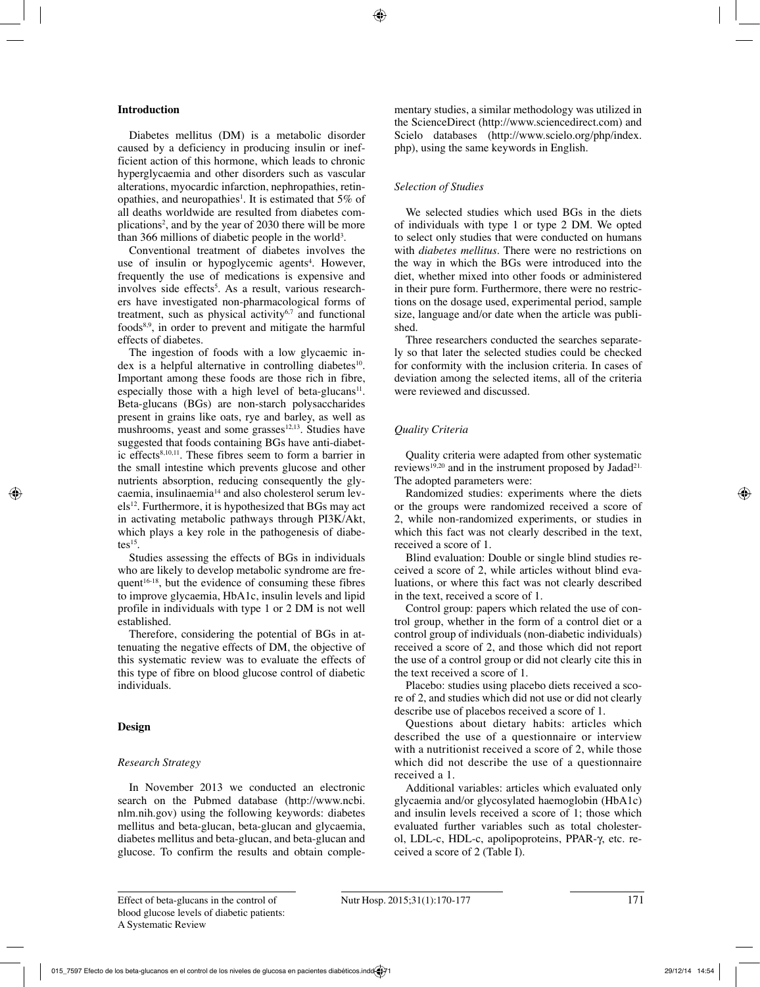## **Introduction**

Diabetes mellitus (DM) is a metabolic disorder caused by a deficiency in producing insulin or inefficient action of this hormone, which leads to chronic hyperglycaemia and other disorders such as vascular alterations, myocardic infarction, nephropathies, retinopathies, and neuropathies<sup>1</sup>. It is estimated that  $5\%$  of all deaths worldwide are resulted from diabetes complications2 , and by the year of 2030 there will be more than 366 millions of diabetic people in the world<sup>3</sup>.

Conventional treatment of diabetes involves the use of insulin or hypoglycemic agents<sup>4</sup>. However, frequently the use of medications is expensive and involves side effects<sup>5</sup>. As a result, various researchers have investigated non-pharmacological forms of treatment, such as physical activity $6,7$  and functional foods8,9, in order to prevent and mitigate the harmful effects of diabetes.

The ingestion of foods with a low glycaemic index is a helpful alternative in controlling diabetes<sup>10</sup>. Important among these foods are those rich in fibre, especially those with a high level of beta-glucans $11$ . Beta-glucans (BGs) are non-starch polysaccharides present in grains like oats, rye and barley, as well as mushrooms, yeast and some grasses $12,13$ . Studies have suggested that foods containing BGs have anti-diabetic effects<sup>8,10,11</sup>. These fibres seem to form a barrier in the small intestine which prevents glucose and other nutrients absorption, reducing consequently the glycaemia, insulinaemia14 and also cholesterol serum lev $els<sup>12</sup>$ . Furthermore, it is hypothesized that BGs may act in activating metabolic pathways through PI3K/Akt, which plays a key role in the pathogenesis of diabetes $^{15}$ .

Studies assessing the effects of BGs in individuals who are likely to develop metabolic syndrome are frequent $16-18$ , but the evidence of consuming these fibres to improve glycaemia, HbA1c, insulin levels and lipid profile in individuals with type 1 or 2 DM is not well established.

Therefore, considering the potential of BGs in attenuating the negative effects of DM, the objective of this systematic review was to evaluate the effects of this type of fibre on blood glucose control of diabetic individuals.

## **Design**

#### *Research Strategy*

In November 2013 we conducted an electronic search on the Pubmed database (http://www.ncbi. nlm.nih.gov) using the following keywords: diabetes mellitus and beta-glucan, beta-glucan and glycaemia, diabetes mellitus and beta-glucan, and beta-glucan and glucose. To confirm the results and obtain complementary studies, a similar methodology was utilized in the ScienceDirect (http://www.sciencedirect.com) and Scielo databases (http://www.scielo.org/php/index. php), using the same keywords in English.

## *Selection of Studies*

We selected studies which used BGs in the diets of individuals with type 1 or type 2 DM. We opted to select only studies that were conducted on humans with *diabetes mellitus*. There were no restrictions on the way in which the BGs were introduced into the diet, whether mixed into other foods or administered in their pure form. Furthermore, there were no restrictions on the dosage used, experimental period, sample size, language and/or date when the article was published.

Three researchers conducted the searches separately so that later the selected studies could be checked for conformity with the inclusion criteria. In cases of deviation among the selected items, all of the criteria were reviewed and discussed.

## *Quality Criteria*

Quality criteria were adapted from other systematic reviews<sup>19,20</sup> and in the instrument proposed by Jadad<sup>21.</sup> The adopted parameters were:

Randomized studies: experiments where the diets or the groups were randomized received a score of 2, while non-randomized experiments, or studies in which this fact was not clearly described in the text, received a score of 1.

Blind evaluation: Double or single blind studies received a score of 2, while articles without blind evaluations, or where this fact was not clearly described in the text, received a score of 1.

Control group: papers which related the use of control group, whether in the form of a control diet or a control group of individuals (non-diabetic individuals) received a score of 2, and those which did not report the use of a control group or did not clearly cite this in the text received a score of 1.

Placebo: studies using placebo diets received a score of 2, and studies which did not use or did not clearly describe use of placebos received a score of 1.

Questions about dietary habits: articles which described the use of a questionnaire or interview with a nutritionist received a score of 2, while those which did not describe the use of a questionnaire received a 1.

Additional variables: articles which evaluated only glycaemia and/or glycosylated haemoglobin (HbA1c) and insulin levels received a score of 1; those which evaluated further variables such as total cholesterol, LDL-c, HDL-c, apolipoproteins, PPAR-γ, etc. received a score of 2 (Table I).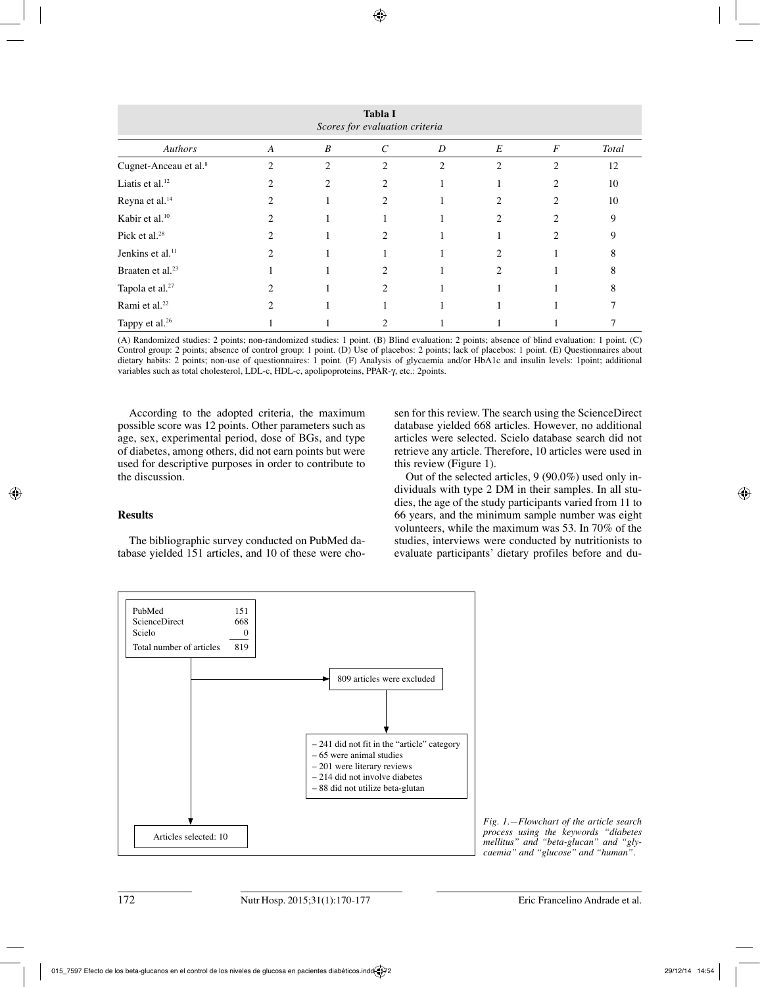| <b>Tabla I</b><br>Scores for evaluation criteria |                             |   |              |   |                |                  |              |  |
|--------------------------------------------------|-----------------------------|---|--------------|---|----------------|------------------|--------------|--|
| Authors                                          | $\boldsymbol{A}$            | B | $\mathcal C$ | D | E              | $\boldsymbol{F}$ | <b>Total</b> |  |
| Cugnet-Anceau et al. <sup>8</sup>                | 2                           | 2 | 2            | 2 | $\overline{c}$ | $\overline{c}$   | 12           |  |
| Liatis et al. <sup>12</sup>                      | $\mathcal{D}_{\mathcal{L}}$ | 2 | 2            |   |                | 2                | 10           |  |
| Reyna et al. <sup>14</sup>                       |                             |   | 2            |   | 2              | $\mathfrak{D}$   | 10           |  |
| Kabir et al. <sup>10</sup>                       |                             |   |              |   |                |                  | 9            |  |
| Pick et al. <sup>28</sup>                        |                             |   |              |   |                | 2                | 9            |  |
| Jenkins et al. <sup>11</sup>                     |                             |   |              |   | 2              |                  | 8            |  |
| Braaten et al. <sup>23</sup>                     |                             |   |              |   | 2              |                  | 8            |  |
| Tapola et al. <sup>27</sup>                      |                             |   | 2            |   |                |                  | 8            |  |
| Rami et al. <sup>22</sup>                        |                             |   |              |   |                |                  |              |  |
| Tappy et al. <sup>26</sup>                       |                             |   |              |   |                |                  |              |  |

(A) Randomized studies: 2 points; non-randomized studies: 1 point. (B) Blind evaluation: 2 points; absence of blind evaluation: 1 point. (C) Control group: 2 points; absence of control group: 1 point. (D) Use of placebos: 2 points; lack of placebos: 1 point. (E) Questionnaires about dietary habits: 2 points; non-use of questionnaires: 1 point. (F) Analysis of glycaemia and/or HbA1c and insulin levels: 1point; additional variables such as total cholesterol, LDL-c, HDL-c, apolipoproteins, PPAR-γ, etc.: 2points.

According to the adopted criteria, the maximum possible score was 12 points. Other parameters such as age, sex, experimental period, dose of BGs, and type of diabetes, among others, did not earn points but were used for descriptive purposes in order to contribute to the discussion.

sen for this review. The search using the ScienceDirect database yielded 668 articles. However, no additional articles were selected. Scielo database search did not retrieve any article. Therefore, 10 articles were used in this review (Figure 1). Out of the selected articles, 9 (90.0%) used only in-

dividuals with type 2 DM in their samples. In all studies, the age of the study participants varied from 11 to 66 years, and the minimum sample number was eight volunteers, while the maximum was 53. In 70% of the studies, interviews were conducted by nutritionists to evaluate participants' dietary profiles before and du-

## **Results**

The bibliographic survey conducted on PubMed database yielded 151 articles, and 10 of these were cho-



*Fig. 1.—Flowchart of the article search process using the keywords "diabetes mellitus" and "beta-glucan" and "glycaemia" and "glucose" and "human".*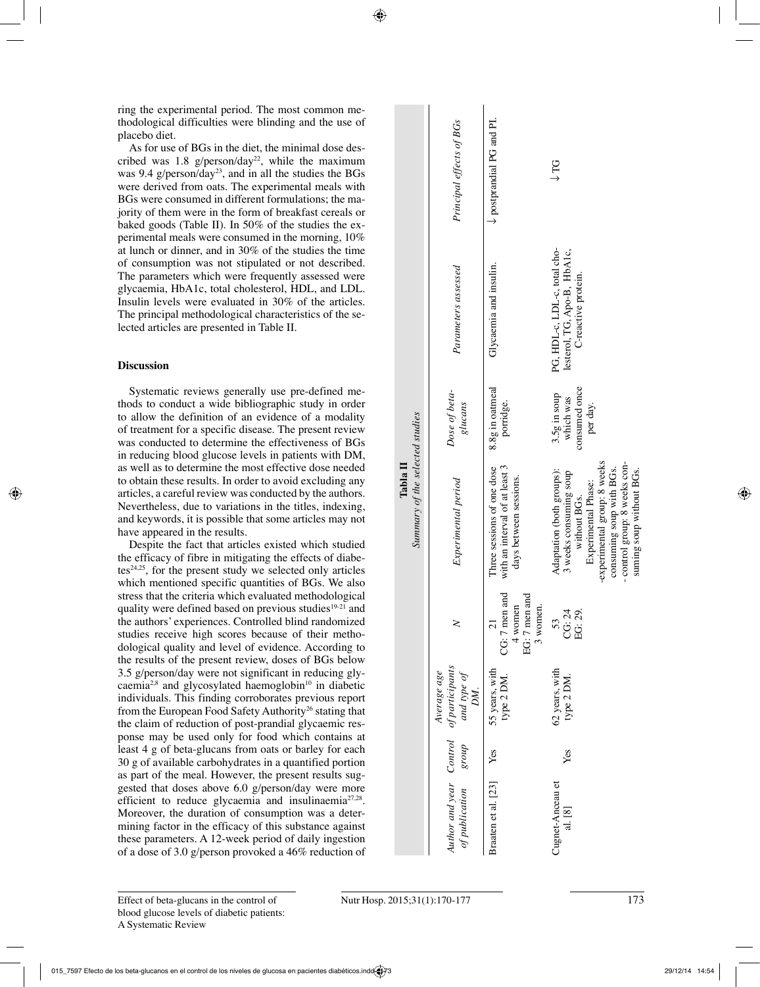ring the experimental period. The most common methodological difficulties were blinding and the use of placebo diet.

As for use of BGs in the diet, the minimal dose described was 1.8 g/person/day<sup>22</sup>, while the maximum was 9.4 g/person/day<sup>23</sup>, and in all the studies the BGs were derived from oats. The experimental meals with BGs were consumed in different formulations; the majority of them were in the form of breakfast cereals or baked goods (Table II). In 50% of the studies the experimental meals were consumed in the morning, 10% at lunch or dinner, and in 30% of the studies the time of consumption was not stipulated or not described. The parameters which were frequently assessed were glycaemia, HbA1c, total cholesterol, HDL, and LDL. Insulin levels were evaluated in 30% of the articles. The principal methodological characteristics of the selected articles are presented in Table II.

## **Discussion**

Systematic reviews generally use pre-defined methods to conduct a wide bibliographic study in order to allow the definition of an evidence of a modality of treatment for a specific disease. The present review was conducted to determine the effectiveness of BGs in reducing blood glucose levels in patients with DM, as well as to determine the most effective dose needed to obtain these results. In order to avoid excluding any articles, a careful review was conducted by the authors. Nevertheless, due to variations in the titles, indexing, and keywords, it is possible that some articles may not have appeared in the results.

Despite the fact that articles existed which studied the efficacy of fibre in mitigating the effects of diabe $tes^{24,25}$ , for the present study we selected only articles which mentioned specific quantities of BGs. We also stress that the criteria which evaluated methodological quality were defined based on previous studies $19-21$  and the authors' experiences. Controlled blind randomized studies receive high scores because of their methodological quality and level of evidence. According to the results of the present review, doses of BGs below 3.5 g/person/day were not significant in reducing glycaemia<sup>2,8</sup> and glycosylated haemoglobin<sup>10</sup> in diabetic individuals. This finding corroborates previous report from the European Food Safety Authority<sup>26</sup> stating that the claim of reduction of post-prandial glycaemic response may be used only for food which contains at least 4 g of beta-glucans from oats or barley for each 30 g of available carbohydrates in a quantified portion as part of the meal. However, the present results suggested that doses above 6.0 g/person/day were more efficient to reduce glycaemia and insulinaemia<sup>27,28</sup>. Moreover, the duration of consumption was a determining factor in the efficacy of this substance against these parameters. A 12-week period of daily ingestion of a dose of 3.0 g/person provoked a 46% reduction of

|                                 | Principal effects of BGs                                        | $\downarrow$ postprandial PG and PI.                                                   | $\downarrow$ TG                                                                                                                                                                                                     |  |  |  |  |
|---------------------------------|-----------------------------------------------------------------|----------------------------------------------------------------------------------------|---------------------------------------------------------------------------------------------------------------------------------------------------------------------------------------------------------------------|--|--|--|--|
|                                 | Parameters assessed                                             | Glycaemia and insulin.                                                                 | PG, HDL-c, LDL-c, total cho-<br>lesterol, TG, Apo-B, HbA1c,<br>C-reactive protein.                                                                                                                                  |  |  |  |  |
|                                 | Dose of beta-<br>glucans                                        | 8.8g in oatmeal<br>porridge.                                                           | consumed once<br>3.5g in soup<br>which was<br>per day.                                                                                                                                                              |  |  |  |  |
| Summary of the selected studies | Experimental period                                             | with an interval of at least 3<br>Three sessions of one dose<br>days between sessions. | -experimental group: 8 weeks<br>- control group: 8 weeks con-<br>consuming soup with BGs.<br>suming soup without BGs.<br>Adaptation (both groups):<br>3 weeks consuming soup<br>Experimental Phase:<br>without BGs. |  |  |  |  |
|                                 |                                                                 | CG: 7 men and<br>EG: 7 men and<br>4 women<br>3 women.<br>$\overline{c}$                | 53<br>CG: 24<br>29.<br>.<br>प्र                                                                                                                                                                                     |  |  |  |  |
|                                 | and type of<br>Average age<br>DM.                               | 55 years, with<br>type 2 DM.                                                           | 62 years, with<br>type 2 DM.                                                                                                                                                                                        |  |  |  |  |
|                                 |                                                                 | Yes                                                                                    | Yes                                                                                                                                                                                                                 |  |  |  |  |
|                                 | Author and year Control of participants<br>of publication group | Braaten et al. [23]                                                                    | <b>Cugnet-Anceau</b> et<br>al. [8]                                                                                                                                                                                  |  |  |  |  |

**Tabla II**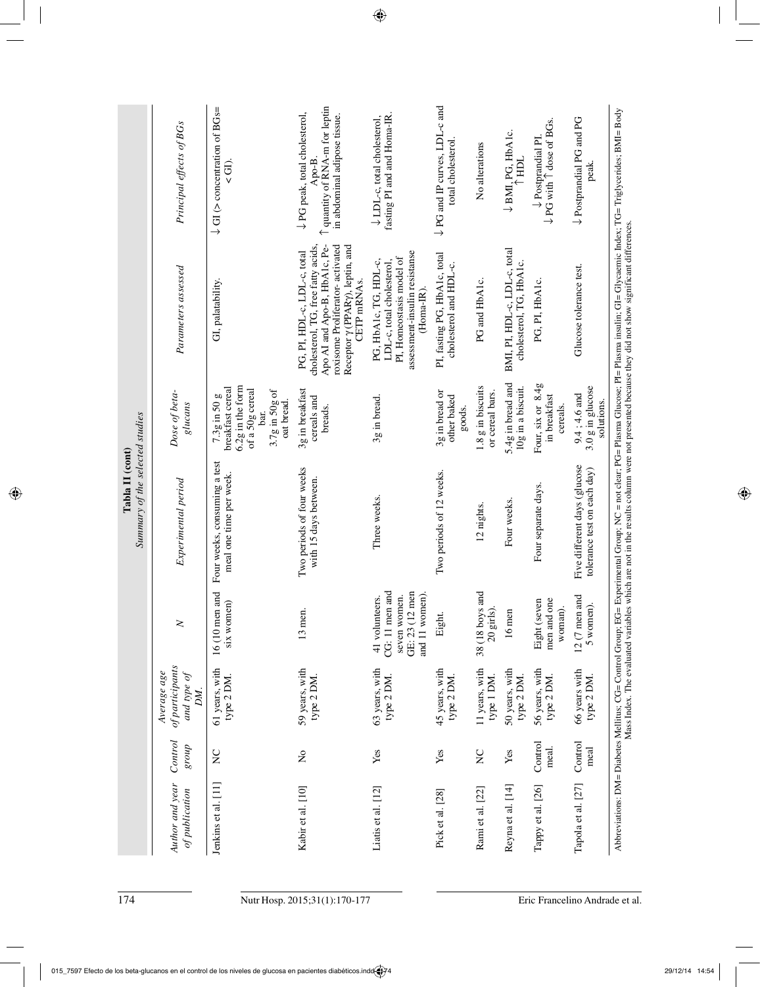| Summary of the selected studies<br>Tabla II (cont) | Principal effects of BGs                             | $\downarrow$ GI ( $>$ concentration of BGs=<br>$\leq$ GD.                                                       | T quantity of RNA-m for leptin<br>↓PG peak, total cholesterol,<br>in abdominal adipose tissue.<br>Apo-B.                                                                                               | fasting PI and and Homa-IR.<br>$\downarrow$ LDL-c, total cholesterol,                                                         | ↓PG and IP curves, LDL-c and<br>total cholesterol.     | No alterations                       | $\downarrow$ BMI, PG, HbA1c.<br>$\uparrow$ HDL          | $\downarrow$ Postprandial PI.<br>$\downarrow$ PG with $\uparrow$ dose of BGs. | ↓ Postprandial PG and PG<br>peak.                           |
|----------------------------------------------------|------------------------------------------------------|-----------------------------------------------------------------------------------------------------------------|--------------------------------------------------------------------------------------------------------------------------------------------------------------------------------------------------------|-------------------------------------------------------------------------------------------------------------------------------|--------------------------------------------------------|--------------------------------------|---------------------------------------------------------|-------------------------------------------------------------------------------|-------------------------------------------------------------|
|                                                    | Parameters assessed                                  | GI, palatability.                                                                                               | cholesterol, TG, free fatty acids,<br>Apo AI and Apo-B, HbA1c, Pe-<br>roxisome Proliferator-activated<br>Receptor $\gamma$ (PPAR $\gamma$ ), leptin, and<br>PG, PI, HDL-c, LDL-c, total<br>CETP mRNAs. | assessment-insulin resistanse<br>PI, Homeostasis model of<br>PG, HbA1c, TG, HDL-c,<br>LDL-c, total cholesterol,<br>(Homa-IR). | PI, fasting PG, HbA1c, total<br>cholesterol and HDL-c. | PG and HbA1c.                        | BMI, PI, HDL-c, LDL-c, total<br>cholesterol, TG, HbA1c. | PG, PI, HbA1c.                                                                | Glucose tolerance test.                                     |
|                                                    | Dose of beta-<br>glucans                             | 6.2g in the form<br>breakfast cereal<br>of a 50g cereal<br>3.7g in 50g of<br>7.3g in 50 g<br>oat bread.<br>bar. | 3g in breakfast<br>cereals and<br>breads.                                                                                                                                                              | 3g in bread.                                                                                                                  | 3g in bread or<br>other baked<br>goods.                | 1.8 g in biscuits<br>or cereal bars. | 5.4g in bread and<br>10g in a biscuit.                  | Four, six or 8.4g<br>in breakfast<br>cereals.                                 | 3.0 g in glucose<br>$9.4; 4.6$ and<br>solutions.            |
|                                                    | Experimental period                                  | Four weeks, consuming a test<br>meal one time per week.                                                         | Two periods of four weeks<br>with 15 days between.                                                                                                                                                     | Three weeks.                                                                                                                  | Two periods of 12 weeks.                               | 12 nights.                           | Four weeks.                                             | Four separate days.                                                           | Five different days (glucose<br>tolerance test on each day) |
|                                                    | $\geq$                                               | $16(10$ men and<br>six women)                                                                                   | 13 men.                                                                                                                                                                                                | CG: 11 men and<br>GE: 23 (12 men<br>and 11 women).<br>seven women.<br>41 volunteers.                                          | Eight.                                                 | 38 (18 boys and<br>20 girls).        | 16 men                                                  | Eight (seven<br>men and one<br>woman).                                        | $12(7$ men and<br>5 women).                                 |
|                                                    | of participants<br>Average age<br>and type of<br>DM. | 61 years, with<br>type 2 DM.                                                                                    | 59 years, with<br>type 2 DM.                                                                                                                                                                           | 63 years, with<br>type 2 DM.                                                                                                  | 45 years, with<br>type 2 DM.                           | 11 years, with<br>type 1 DM.         | 50 years, with<br>type 2 DM.                            | 56 years, with<br>type 2 DM.                                                  | 66 years with<br>type 2 DM.                                 |
|                                                    | Control<br>dno.18                                    | $\sum_{i=1}^{n}$                                                                                                | $\overline{\mathsf{x}}$                                                                                                                                                                                | Yes                                                                                                                           | Yes                                                    | $\sum_{i=1}^{n}$                     | Yes                                                     | Control<br>meal.                                                              | Control<br>meal                                             |
|                                                    | Author and year<br>of publication                    | Jenkins et al. [11]                                                                                             | Kabir et al. [10]                                                                                                                                                                                      | Liatis et al. [12]                                                                                                            | Pick et al. [28]                                       | Rami et al. [22]                     | Reyna et al. [14]                                       | Tappy et al. [26]                                                             | Tapola et al. [27]                                          |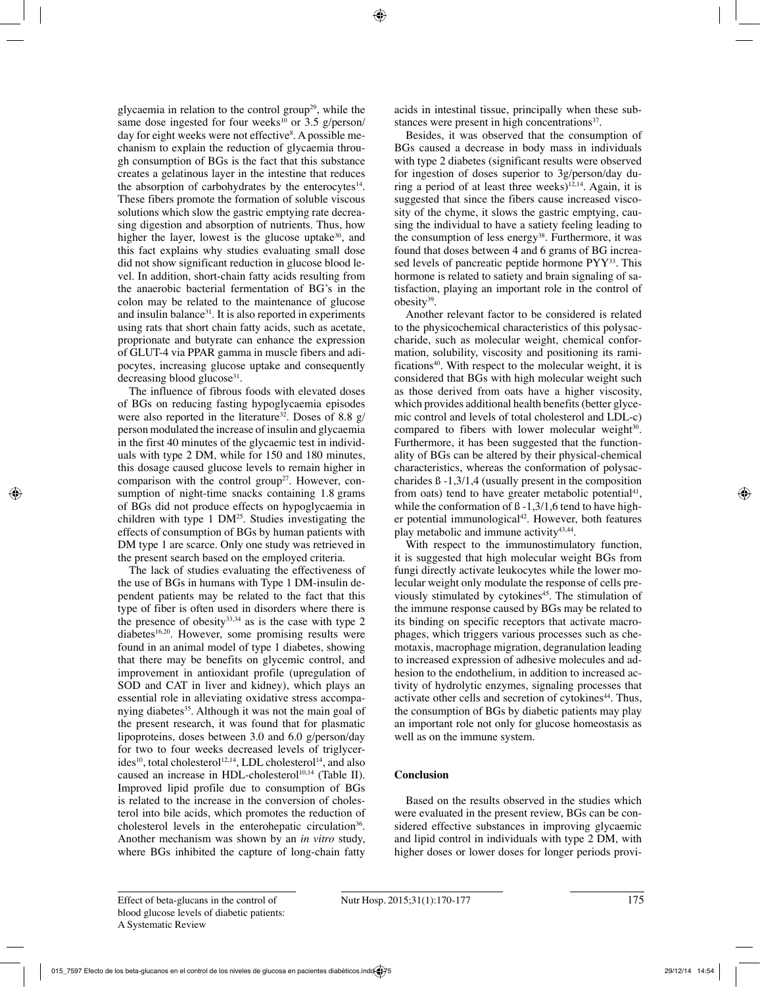glycaemia in relation to the control group<sup>29</sup>, while the same dose ingested for four weeks<sup>10</sup> or 3.5 g/person/ day for eight weeks were not effective8 . A possible mechanism to explain the reduction of glycaemia through consumption of BGs is the fact that this substance creates a gelatinous layer in the intestine that reduces the absorption of carbohydrates by the enterocytes $14$ . These fibers promote the formation of soluble viscous solutions which slow the gastric emptying rate decreasing digestion and absorption of nutrients. Thus, how higher the layer, lowest is the glucose uptake $30$ , and this fact explains why studies evaluating small dose did not show significant reduction in glucose blood level. In addition, short-chain fatty acids resulting from the anaerobic bacterial fermentation of BG's in the colon may be related to the maintenance of glucose and insulin balance<sup>31</sup>. It is also reported in experiments using rats that short chain fatty acids, such as acetate, proprionate and butyrate can enhance the expression of GLUT-4 via PPAR gamma in muscle fibers and adipocytes, increasing glucose uptake and consequently decreasing blood glucose<sup>31</sup>.

The influence of fibrous foods with elevated doses of BGs on reducing fasting hypoglycaemia episodes were also reported in the literature<sup>32</sup>. Doses of 8.8 g/ person modulated the increase of insulin and glycaemia in the first 40 minutes of the glycaemic test in individuals with type 2 DM, while for 150 and 180 minutes, this dosage caused glucose levels to remain higher in comparison with the control group<sup>27</sup>. However, consumption of night-time snacks containing 1.8 grams of BGs did not produce effects on hypoglycaemia in children with type 1  $DM<sup>25</sup>$ . Studies investigating the effects of consumption of BGs by human patients with DM type 1 are scarce. Only one study was retrieved in the present search based on the employed criteria.

The lack of studies evaluating the effectiveness of the use of BGs in humans with Type 1 DM-insulin dependent patients may be related to the fact that this type of fiber is often used in disorders where there is the presence of obesity<sup>33,34</sup> as is the case with type 2  $diabetes^{16,20}$ . However, some promising results were found in an animal model of type 1 diabetes, showing that there may be benefits on glycemic control, and improvement in antioxidant profile (upregulation of SOD and CAT in liver and kidney), which plays an essential role in alleviating oxidative stress accompanying diabetes<sup>35</sup>. Although it was not the main goal of the present research, it was found that for plasmatic lipoproteins, doses between 3.0 and 6.0 g/person/day for two to four weeks decreased levels of triglycerides<sup>10</sup>, total cholesterol<sup>12,14</sup>, LDL cholesterol<sup>14</sup>, and also caused an increase in HDL-cholesterol<sup>10,14</sup> (Table II). Improved lipid profile due to consumption of BGs is related to the increase in the conversion of cholesterol into bile acids, which promotes the reduction of cholesterol levels in the enterohepatic circulation<sup>36</sup>. Another mechanism was shown by an *in vitro* study, where BGs inhibited the capture of long-chain fatty

acids in intestinal tissue, principally when these substances were present in high concentrations<sup>37</sup>.

Besides, it was observed that the consumption of BGs caused a decrease in body mass in individuals with type 2 diabetes (significant results were observed for ingestion of doses superior to 3g/person/day during a period of at least three weeks)<sup>12,14</sup>. Again, it is suggested that since the fibers cause increased viscosity of the chyme, it slows the gastric emptying, causing the individual to have a satiety feeling leading to the consumption of less energy<sup>38</sup>. Furthermore, it was found that doses between 4 and 6 grams of BG increased levels of pancreatic peptide hormone PYY<sup>33</sup>. This hormone is related to satiety and brain signaling of satisfaction, playing an important role in the control of obesity39.

Another relevant factor to be considered is related to the physicochemical characteristics of this polysaccharide, such as molecular weight, chemical conformation, solubility, viscosity and positioning its ramifications<sup>40</sup>. With respect to the molecular weight, it is considered that BGs with high molecular weight such as those derived from oats have a higher viscosity, which provides additional health benefits (better glycemic control and levels of total cholesterol and LDL-c) compared to fibers with lower molecular weight $30$ . Furthermore, it has been suggested that the functionality of BGs can be altered by their physical-chemical characteristics, whereas the conformation of polysaccharides ß -1,3/1,4 (usually present in the composition from oats) tend to have greater metabolic potential $41$ , while the conformation of  $\beta$  -1,3/1,6 tend to have higher potential immunological<sup>42</sup>. However, both features play metabolic and immune activity<sup>43,44</sup>.

With respect to the immunostimulatory function, it is suggested that high molecular weight BGs from fungi directly activate leukocytes while the lower molecular weight only modulate the response of cells previously stimulated by cytokines<sup>45</sup>. The stimulation of the immune response caused by BGs may be related to its binding on specific receptors that activate macrophages, which triggers various processes such as chemotaxis, macrophage migration, degranulation leading to increased expression of adhesive molecules and adhesion to the endothelium, in addition to increased activity of hydrolytic enzymes, signaling processes that activate other cells and secretion of cytokines<sup>44</sup>. Thus, the consumption of BGs by diabetic patients may play an important role not only for glucose homeostasis as well as on the immune system.

## **Conclusion**

Based on the results observed in the studies which were evaluated in the present review, BGs can be considered effective substances in improving glycaemic and lipid control in individuals with type 2 DM, with higher doses or lower doses for longer periods provi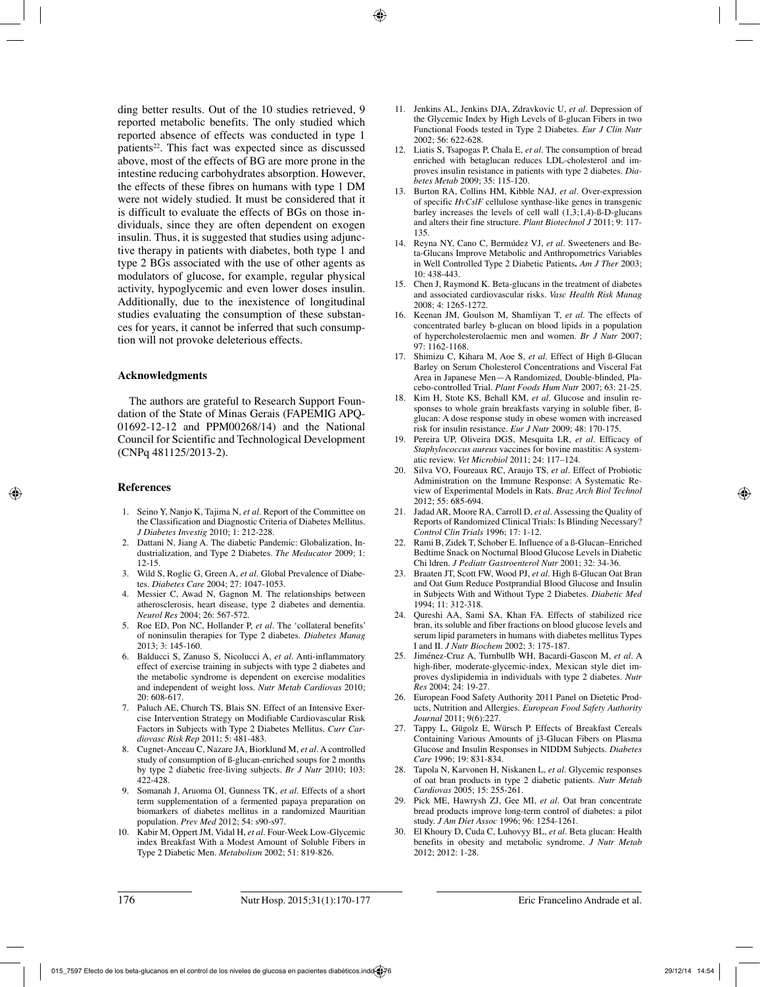ding better results. Out of the 10 studies retrieved, 9 reported metabolic benefits. The only studied which reported absence of effects was conducted in type 1 patients<sup>22</sup>. This fact was expected since as discussed above, most of the effects of BG are more prone in the intestine reducing carbohydrates absorption. However, the effects of these fibres on humans with type 1 DM were not widely studied. It must be considered that it is difficult to evaluate the effects of BGs on those individuals, since they are often dependent on exogen insulin. Thus, it is suggested that studies using adjunctive therapy in patients with diabetes, both type 1 and type 2 BGs associated with the use of other agents as modulators of glucose, for example, regular physical activity, hypoglycemic and even lower doses insulin. Additionally, due to the inexistence of longitudinal studies evaluating the consumption of these substances for years, it cannot be inferred that such consumption will not provoke deleterious effects.

#### **Acknowledgments**

The authors are grateful to Research Support Foundation of the State of Minas Gerais (FAPEMIG APQ-01692-12-12 and PPM00268/14) and the National Council for Scientific and Technological Development (CNPq 481125/2013-2).

#### **References**

- 1. Seino Y, Nanjo K, Tajima N, *et al.* Report of the Committee on the Classification and Diagnostic Criteria of Diabetes Mellitus. *J Diabetes Investig* 2010; 1: 212-228.
- 2. Dattani N, Jiang A. The diabetic Pandemic: Globalization, Industrialization, and Type 2 Diabetes. *The Meducator* 2009; 1: 12-15.
- 3. Wild S, Roglic G, Green A, *et al.* Global Prevalence of Diabetes. *Diabetes Care* 2004; 27: 1047-1053.
- 4. Messier C, Awad N, Gagnon M. The relationships between atherosclerosis, heart disease, type 2 diabetes and dementia. *Neurol Res* 2004; 26: 567-572.
- 5. Roe ED, Pon NC, Hollander P, *et al.* The 'collateral benefits' of noninsulin therapies for Type 2 diabetes. *Diabetes Manag* 2013; 3: 145-160.
- 6. Balducci S, Zanuso S, Nicolucci A, *et al*. Anti-inflammatory effect of exercise training in subjects with type 2 diabetes and the metabolic syndrome is dependent on exercise modalities and independent of weight loss. *Nutr Metab Cardiovas* 2010; 20: 608-617.
- 7. Paluch AE, Church TS, Blais SN. Effect of an Intensive Exercise Intervention Strategy on Modifiable Cardiovascular Risk Factors in Subjects with Type 2 Diabetes Mellitus. *Curr Cardiovasc Risk Rep* 2011; 5: 481-483.
- 8. Cugnet-Anceau C, Nazare JA, Biorklund M, *et al.* A controlled study of consumption of ß-glucan-enriched soups for 2 months by type 2 diabetic free-living subjects. *Br J Nutr* 2010; 103: 422-428.
- 9. Somanah J, Aruoma OI, Gunness TK, *et al.* Effects of a short term supplementation of a fermented papaya preparation on biomarkers of diabetes mellitus in a randomized Mauritian population. *Prev Med* 2012; 54: s90-s97.
- 10. Kabir M, Oppert JM, Vidal H, *et al.* Four-Week Low-Glycemic index Breakfast With a Modest Amount of Soluble Fibers in Type 2 Diabetic Men. *Metabolism* 2002; 51: 819-826.
- 11. Jenkins AL, Jenkins DJA, Zdravkovic U, *et al.* Depression of the Glycemic Index by High Levels of ß-glucan Fibers in two Functional Foods tested in Type 2 Diabetes. *Eur J Clin Nutr* 2002; 56: 622-628.
- 12. Liatis S, Tsapogas P, Chala E, *et al.* The consumption of bread enriched with betaglucan reduces LDL-cholesterol and improves insulin resistance in patients with type 2 diabetes. *Diabetes Metab* 2009; 35: 115-120.
- 13. Burton RA, Collins HM, Kibble NAJ, *et al.* Over-expression of specific *HvCslF* cellulose synthase-like genes in transgenic barley increases the levels of cell wall (1,3;1,4)-ß-D-glucans and alters their fine structure. *Plant Biotechnol J* 2011; 9: 117- 135.
- 14. Reyna NY, Cano C, Bermúdez VJ, *et al.* Sweeteners and Beta-Glucans Improve Metabolic and Anthropometrics Variables in Well Controlled Type 2 Diabetic Patients**.** *Am J Ther* 2003; 10: 438-443.
- 15. Chen J, Raymond K. Beta-glucans in the treatment of diabetes and associated cardiovascular risks. *Vasc Health Risk Manag* 2008; 4: 1265-1272.
- 16. Keenan JM, Goulson M, Shamliyan T, *et al.* The effects of concentrated barley b-glucan on blood lipids in a population of hypercholesterolaemic men and women. *Br J Nutr* 2007; 97: 1162-1168.
- 17. Shimizu C, Kihara M, Aoe S, *et al.* Effect of High ß-Glucan Barley on Serum Cholesterol Concentrations and Visceral Fat Area in Japanese Men—A Randomized, Double-blinded, Placebo-controlled Trial. *Plant Foods Hum Nutr* 2007; 63: 21-25.
- 18. Kim H, Stote KS, Behall KM, *et al.* Glucose and insulin responses to whole grain breakfasts varying in soluble fiber, ßglucan: A dose response study in obese women with increased risk for insulin resistance. *Eur J Nutr* 2009; 48: 170-175.
- 19. Pereira UP, Oliveira DGS, Mesquita LR, *et al.* Efficacy of *Staphylococcus aureus* vaccines for bovine mastitis: A systematic review. *Vet Microbiol* 2011; 24: 117–124.
- 20. Silva VO, Foureaux RC, Araujo TS, *et al.* Effect of Probiotic Administration on the Immune Response: A Systematic Review of Experimental Models in Rats. *Braz Arch Biol Technol* 2012; 55: 685-694.
- 21. Jadad AR, Moore RA, Carroll D, *et al.* Assessing the Quality of Reports of Randomized Clinical Trials: Is Blinding Necessary? *Control Clin Trials* 1996; 17: 1-12.
- Rami B, Zidek T, Schober E. Influence of a ß-Glucan–Enriched Bedtime Snack on Nocturnal Blood Glucose Levels in Diabetic Chi ldren. *J Pediatr Gastroenterol Nutr* 2001; 32: 34-36.
- 23. Braaten JT, Scott FW, Wood PJ, *et al.* High ß-Glucan Oat Bran and Oat Gum Reduce Postprandial Blood Glucose and Insulin in Subjects With and Without Type 2 Diabetes. *Diabetic Med*   $1994 \cdot 11 \cdot 312 - 318$
- 24. Qureshi AA, Sami SA, Khan FA. Effects of stabilized rice bran, its soluble and fiber fractions on blood glucose levels and serum lipid parameters in humans with diabetes mellitus Types I and II. *J Nutr Biochem* 2002; 3: 175-187.
- 25. Jiménez-Cruz A, Turnbullb WH, Bacardi-Gascon M, *et al.* A high-fiber, moderate-glycemic-index, Mexican style diet improves dyslipidemia in individuals with type 2 diabetes. *Nutr Res* 2004; 24: 19-27.
- 26. European Food Safety Authority 2011 Panel on Dietetic Products, Nutrition and Allergies. *European Food Safety Authority Journal* 2011; 9(6):227.
- 27. Tappy L, Gügolz E, Würsch P. Effects of Breakfast Cereals Containing Various Amounts of j3-Glucan Fibers on Plasma Glucose and Insulin Responses in NIDDM Subjects. *Diabetes Care* 1996; 19: 831-834.
- 28. Tapola N, Karvonen H, Niskanen L, *et al.* Glycemic responses of oat bran products in type 2 diabetic patients. *Nutr Metab Cardiovas* 2005; 15: 255-261.
- 29. Pick ME, Hawrysh ZJ, Gee MI, *et al.* Oat bran concentrate bread products improve long-term control of diabetes: a pilot study. *J Am Diet Assoc* 1996; 96: 1254-1261.
- 30. El Khoury D, Cuda C, Luhovyy BL, *et al.* Beta glucan: Health benefits in obesity and metabolic syndrome. *J Nutr Metab* 2012; 2012: 1-28.